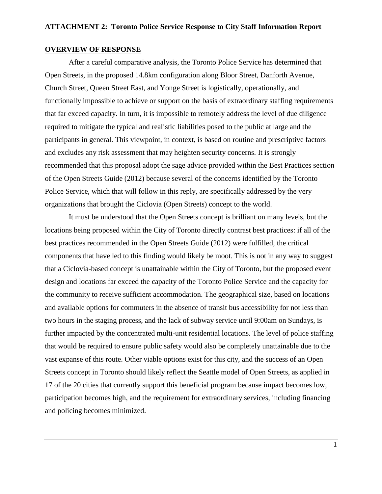# **OVERVIEW OF RESPONSE**

After a careful comparative analysis, the Toronto Police Service has determined that Open Streets, in the proposed 14.8km configuration along Bloor Street, Danforth Avenue, Church Street, Queen Street East, and Yonge Street is logistically, operationally, and functionally impossible to achieve or support on the basis of extraordinary staffing requirements that far exceed capacity. In turn, it is impossible to remotely address the level of due diligence required to mitigate the typical and realistic liabilities posed to the public at large and the participants in general. This viewpoint, in context, is based on routine and prescriptive factors and excludes any risk assessment that may heighten security concerns. It is strongly recommended that this proposal adopt the sage advice provided within the Best Practices section of the Open Streets Guide (2012) because several of the concerns identified by the Toronto Police Service, which that will follow in this reply, are specifically addressed by the very organizations that brought the Ciclovia (Open Streets) concept to the world.

It must be understood that the Open Streets concept is brilliant on many levels, but the locations being proposed within the City of Toronto directly contrast best practices: if all of the best practices recommended in the Open Streets Guide (2012) were fulfilled, the critical components that have led to this finding would likely be moot. This is not in any way to suggest that a Ciclovia-based concept is unattainable within the City of Toronto, but the proposed event design and locations far exceed the capacity of the Toronto Police Service and the capacity for the community to receive sufficient accommodation. The geographical size, based on locations and available options for commuters in the absence of transit bus accessibility for not less than two hours in the staging process, and the lack of subway service until 9:00am on Sundays, is further impacted by the concentrated multi-unit residential locations. The level of police staffing that would be required to ensure public safety would also be completely unattainable due to the vast expanse of this route. Other viable options exist for this city, and the success of an Open Streets concept in Toronto should likely reflect the Seattle model of Open Streets, as applied in 17 of the 20 cities that currently support this beneficial program because impact becomes low, participation becomes high, and the requirement for extraordinary services, including financing and policing becomes minimized.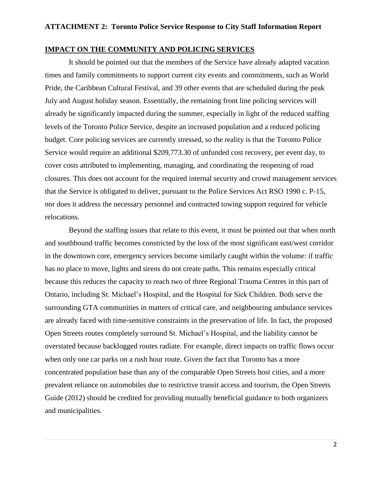# **IMPACT ON THE COMMUNITY AND POLICING SERVICES**

It should be pointed out that the members of the Service have already adapted vacation times and family commitments to support current city events and commitments, such as World Pride, the Caribbean Cultural Festival, and 39 other events that are scheduled during the peak July and August holiday season. Essentially, the remaining front line policing services will already be significantly impacted during the summer, especially in light of the reduced staffing levels of the Toronto Police Service, despite an increased population and a reduced policing budget. Core policing services are currently stressed, so the reality is that the Toronto Police Service would require an additional \$209,773.30 of unfunded cost recovery, per event day, to cover costs attributed to implementing, managing, and coordinating the reopening of road closures. This does not account for the required internal security and crowd management services that the Service is obligated to deliver, pursuant to the Police Services Act RSO 1990 c. P-15, nor does it address the necessary personnel and contracted towing support required for vehicle relocations.

Beyond the staffing issues that relate to this event, it must be pointed out that when north and southbound traffic becomes constricted by the loss of the most significant east/west corridor in the downtown core, emergency services become similarly caught within the volume: if traffic has no place to move, lights and sirens do not create paths. This remains especially critical because this reduces the capacity to reach two of three Regional Trauma Centres in this part of Ontario, including St. Michael's Hospital, and the Hospital for Sick Children. Both serve the surrounding GTA communities in matters of critical care, and neighbouring ambulance services are already faced with time-sensitive constraints in the preservation of life. In fact, the proposed Open Streets routes completely surround St. Michael's Hospital, and the liability cannot be overstated because backlogged routes radiate. For example, direct impacts on traffic flows occur when only one car parks on a rush hour route. Given the fact that Toronto has a more concentrated population base than any of the comparable Open Streets host cities, and a more prevalent reliance on automobiles due to restrictive transit access and tourism, the Open Streets Guide (2012) should be credited for providing mutually beneficial guidance to both organizers and municipalities.

2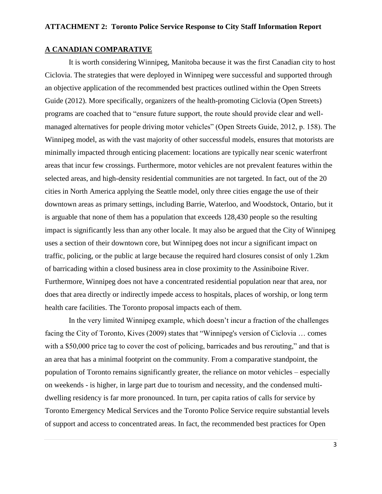# **A CANADIAN COMPARATIVE**

It is worth considering Winnipeg, Manitoba because it was the first Canadian city to host Ciclovia. The strategies that were deployed in Winnipeg were successful and supported through an objective application of the recommended best practices outlined within the Open Streets Guide (2012). More specifically, organizers of the health-promoting Ciclovia (Open Streets) programs are coached that to "ensure future support, the route should provide clear and wellmanaged alternatives for people driving motor vehicles" (Open Streets Guide, 2012, p. 158). The Winnipeg model, as with the vast majority of other successful models, ensures that motorists are minimally impacted through enticing placement: locations are typically near scenic waterfront areas that incur few crossings. Furthermore, motor vehicles are not prevalent features within the selected areas, and high-density residential communities are not targeted. In fact, out of the 20 cities in North America applying the Seattle model, only three cities engage the use of their downtown areas as primary settings, including Barrie, Waterloo, and Woodstock, Ontario, but it is arguable that none of them has a population that exceeds 128,430 people so the resulting impact is significantly less than any other locale. It may also be argued that the City of Winnipeg uses a section of their downtown core, but Winnipeg does not incur a significant impact on traffic, policing, or the public at large because the required hard closures consist of only 1.2km of barricading within a closed business area in close proximity to the Assiniboine River. Furthermore, Winnipeg does not have a concentrated residential population near that area, nor does that area directly or indirectly impede access to hospitals, places of worship, or long term health care facilities. The Toronto proposal impacts each of them.

In the very limited Winnipeg example, which doesn't incur a fraction of the challenges facing the City of Toronto, Kives (2009) states that "Winnipeg's version of Ciclovia … comes with a \$50,000 price tag to cover the cost of policing, barricades and bus rerouting," and that is an area that has a minimal footprint on the community. From a comparative standpoint, the population of Toronto remains significantly greater, the reliance on motor vehicles – especially on weekends - is higher, in large part due to tourism and necessity, and the condensed multidwelling residency is far more pronounced. In turn, per capita ratios of calls for service by Toronto Emergency Medical Services and the Toronto Police Service require substantial levels of support and access to concentrated areas. In fact, the recommended best practices for Open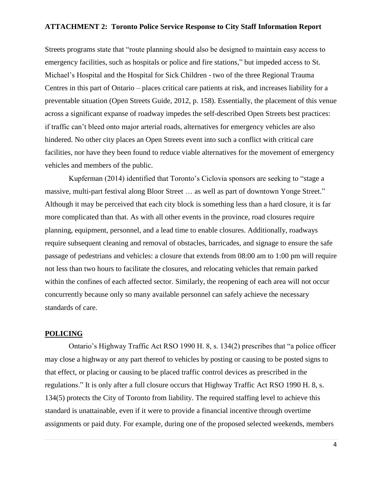Streets programs state that "route planning should also be designed to maintain easy access to emergency facilities, such as hospitals or police and fire stations," but impeded access to St. Michael's Hospital and the Hospital for Sick Children - two of the three Regional Trauma Centres in this part of Ontario – places critical care patients at risk, and increases liability for a preventable situation (Open Streets Guide, 2012, p. 158). Essentially, the placement of this venue across a significant expanse of roadway impedes the self-described Open Streets best practices: if traffic can't bleed onto major arterial roads, alternatives for emergency vehicles are also hindered. No other city places an Open Streets event into such a conflict with critical care facilities, nor have they been found to reduce viable alternatives for the movement of emergency vehicles and members of the public.

Kupferman (2014) identified that Toronto's Ciclovia sponsors are seeking to "stage a massive, multi-part festival along Bloor Street … as well as part of downtown Yonge Street." Although it may be perceived that each city block is something less than a hard closure, it is far more complicated than that. As with all other events in the province, road closures require planning, equipment, personnel, and a lead time to enable closures. Additionally, roadways require subsequent cleaning and removal of obstacles, barricades, and signage to ensure the safe passage of pedestrians and vehicles: a closure that extends from 08:00 am to 1:00 pm will require not less than two hours to facilitate the closures, and relocating vehicles that remain parked within the confines of each affected sector. Similarly, the reopening of each area will not occur concurrently because only so many available personnel can safely achieve the necessary standards of care.

# **POLICING**

Ontario's Highway Traffic Act RSO 1990 H. 8, s. 134(2) prescribes that "a police officer may close a highway or any part thereof to vehicles by posting or causing to be posted signs to that effect, or placing or causing to be placed traffic control devices as prescribed in the regulations." It is only after a full closure occurs that Highway Traffic Act RSO 1990 H. 8, s. 134(5) protects the City of Toronto from liability. The required staffing level to achieve this standard is unattainable, even if it were to provide a financial incentive through overtime assignments or paid duty. For example, during one of the proposed selected weekends, members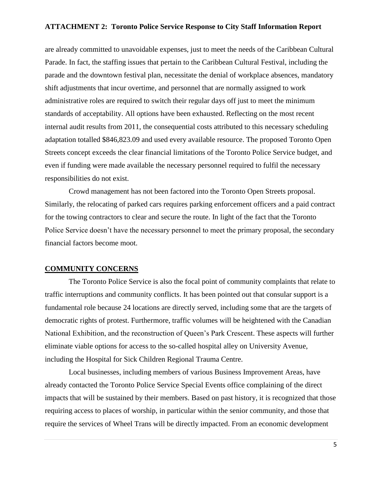are already committed to unavoidable expenses, just to meet the needs of the Caribbean Cultural Parade. In fact, the staffing issues that pertain to the Caribbean Cultural Festival, including the parade and the downtown festival plan, necessitate the denial of workplace absences, mandatory shift adjustments that incur overtime, and personnel that are normally assigned to work administrative roles are required to switch their regular days off just to meet the minimum standards of acceptability. All options have been exhausted. Reflecting on the most recent internal audit results from 2011, the consequential costs attributed to this necessary scheduling adaptation totalled \$846,823.09 and used every available resource. The proposed Toronto Open Streets concept exceeds the clear financial limitations of the Toronto Police Service budget, and even if funding were made available the necessary personnel required to fulfil the necessary responsibilities do not exist.

Crowd management has not been factored into the Toronto Open Streets proposal. Similarly, the relocating of parked cars requires parking enforcement officers and a paid contract for the towing contractors to clear and secure the route. In light of the fact that the Toronto Police Service doesn't have the necessary personnel to meet the primary proposal, the secondary financial factors become moot.

# **COMMUNITY CONCERNS**

The Toronto Police Service is also the focal point of community complaints that relate to traffic interruptions and community conflicts. It has been pointed out that consular support is a fundamental role because 24 locations are directly served, including some that are the targets of democratic rights of protest. Furthermore, traffic volumes will be heightened with the Canadian National Exhibition, and the reconstruction of Queen's Park Crescent. These aspects will further eliminate viable options for access to the so-called hospital alley on University Avenue, including the Hospital for Sick Children Regional Trauma Centre.

Local businesses, including members of various Business Improvement Areas, have already contacted the Toronto Police Service Special Events office complaining of the direct impacts that will be sustained by their members. Based on past history, it is recognized that those requiring access to places of worship, in particular within the senior community, and those that require the services of Wheel Trans will be directly impacted. From an economic development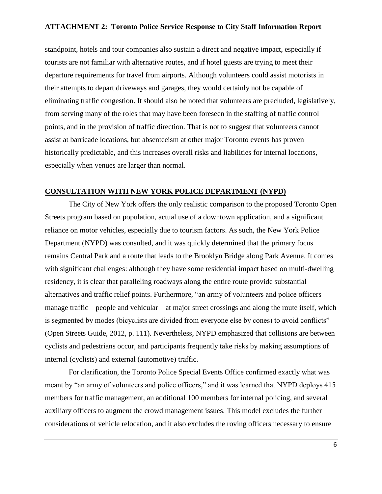standpoint, hotels and tour companies also sustain a direct and negative impact, especially if tourists are not familiar with alternative routes, and if hotel guests are trying to meet their departure requirements for travel from airports. Although volunteers could assist motorists in their attempts to depart driveways and garages, they would certainly not be capable of eliminating traffic congestion. It should also be noted that volunteers are precluded, legislatively, from serving many of the roles that may have been foreseen in the staffing of traffic control points, and in the provision of traffic direction. That is not to suggest that volunteers cannot assist at barricade locations, but absenteeism at other major Toronto events has proven historically predictable, and this increases overall risks and liabilities for internal locations, especially when venues are larger than normal.

### **CONSULTATION WITH NEW YORK POLICE DEPARTMENT (NYPD)**

The City of New York offers the only realistic comparison to the proposed Toronto Open Streets program based on population, actual use of a downtown application, and a significant reliance on motor vehicles, especially due to tourism factors. As such, the New York Police Department (NYPD) was consulted, and it was quickly determined that the primary focus remains Central Park and a route that leads to the Brooklyn Bridge along Park Avenue. It comes with significant challenges: although they have some residential impact based on multi-dwelling residency, it is clear that paralleling roadways along the entire route provide substantial alternatives and traffic relief points. Furthermore, "an army of volunteers and police officers manage traffic – people and vehicular – at major street crossings and along the route itself, which is segmented by modes (bicyclists are divided from everyone else by cones) to avoid conflicts" (Open Streets Guide, 2012, p. 111). Nevertheless, NYPD emphasized that collisions are between cyclists and pedestrians occur, and participants frequently take risks by making assumptions of internal (cyclists) and external (automotive) traffic.

For clarification, the Toronto Police Special Events Office confirmed exactly what was meant by "an army of volunteers and police officers," and it was learned that NYPD deploys 415 members for traffic management, an additional 100 members for internal policing, and several auxiliary officers to augment the crowd management issues. This model excludes the further considerations of vehicle relocation, and it also excludes the roving officers necessary to ensure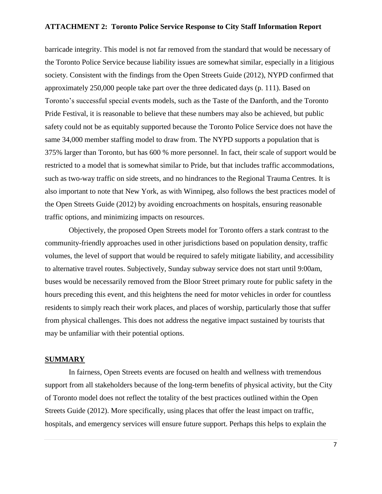barricade integrity. This model is not far removed from the standard that would be necessary of the Toronto Police Service because liability issues are somewhat similar, especially in a litigious society. Consistent with the findings from the Open Streets Guide (2012), NYPD confirmed that approximately 250,000 people take part over the three dedicated days (p. 111). Based on Toronto's successful special events models, such as the Taste of the Danforth, and the Toronto Pride Festival, it is reasonable to believe that these numbers may also be achieved, but public safety could not be as equitably supported because the Toronto Police Service does not have the same 34,000 member staffing model to draw from. The NYPD supports a population that is 375% larger than Toronto, but has 600 % more personnel. In fact, their scale of support would be restricted to a model that is somewhat similar to Pride, but that includes traffic accommodations, such as two-way traffic on side streets, and no hindrances to the Regional Trauma Centres. It is also important to note that New York, as with Winnipeg, also follows the best practices model of the Open Streets Guide (2012) by avoiding encroachments on hospitals, ensuring reasonable traffic options, and minimizing impacts on resources.

Objectively, the proposed Open Streets model for Toronto offers a stark contrast to the community-friendly approaches used in other jurisdictions based on population density, traffic volumes, the level of support that would be required to safely mitigate liability, and accessibility to alternative travel routes. Subjectively, Sunday subway service does not start until 9:00am, buses would be necessarily removed from the Bloor Street primary route for public safety in the hours preceding this event, and this heightens the need for motor vehicles in order for countless residents to simply reach their work places, and places of worship, particularly those that suffer from physical challenges. This does not address the negative impact sustained by tourists that may be unfamiliar with their potential options.

## **SUMMARY**

In fairness, Open Streets events are focused on health and wellness with tremendous support from all stakeholders because of the long-term benefits of physical activity, but the City of Toronto model does not reflect the totality of the best practices outlined within the Open Streets Guide (2012). More specifically, using places that offer the least impact on traffic, hospitals, and emergency services will ensure future support. Perhaps this helps to explain the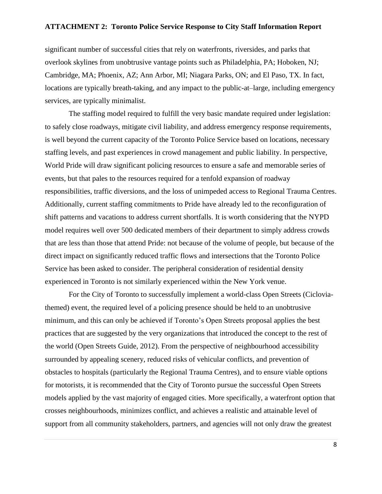significant number of successful cities that rely on waterfronts, riversides, and parks that overlook skylines from unobtrusive vantage points such as Philadelphia, PA; Hoboken, NJ; Cambridge, MA; Phoenix, AZ; Ann Arbor, MI; Niagara Parks, ON; and El Paso, TX. In fact, locations are typically breath-taking, and any impact to the public-at–large, including emergency services, are typically minimalist.

The staffing model required to fulfill the very basic mandate required under legislation: to safely close roadways, mitigate civil liability, and address emergency response requirements, is well beyond the current capacity of the Toronto Police Service based on locations, necessary staffing levels, and past experiences in crowd management and public liability. In perspective, World Pride will draw significant policing resources to ensure a safe and memorable series of events, but that pales to the resources required for a tenfold expansion of roadway responsibilities, traffic diversions, and the loss of unimpeded access to Regional Trauma Centres. Additionally, current staffing commitments to Pride have already led to the reconfiguration of shift patterns and vacations to address current shortfalls. It is worth considering that the NYPD model requires well over 500 dedicated members of their department to simply address crowds that are less than those that attend Pride: not because of the volume of people, but because of the direct impact on significantly reduced traffic flows and intersections that the Toronto Police Service has been asked to consider. The peripheral consideration of residential density experienced in Toronto is not similarly experienced within the New York venue.

For the City of Toronto to successfully implement a world-class Open Streets (Cicloviathemed) event, the required level of a policing presence should be held to an unobtrusive minimum, and this can only be achieved if Toronto's Open Streets proposal applies the best practices that are suggested by the very organizations that introduced the concept to the rest of the world (Open Streets Guide, 2012). From the perspective of neighbourhood accessibility surrounded by appealing scenery, reduced risks of vehicular conflicts, and prevention of obstacles to hospitals (particularly the Regional Trauma Centres), and to ensure viable options for motorists, it is recommended that the City of Toronto pursue the successful Open Streets models applied by the vast majority of engaged cities. More specifically, a waterfront option that crosses neighbourhoods, minimizes conflict, and achieves a realistic and attainable level of support from all community stakeholders, partners, and agencies will not only draw the greatest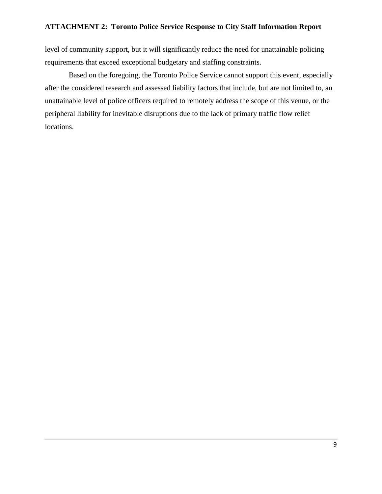level of community support, but it will significantly reduce the need for unattainable policing requirements that exceed exceptional budgetary and staffing constraints.

Based on the foregoing, the Toronto Police Service cannot support this event, especially after the considered research and assessed liability factors that include, but are not limited to, an unattainable level of police officers required to remotely address the scope of this venue, or the peripheral liability for inevitable disruptions due to the lack of primary traffic flow relief locations.